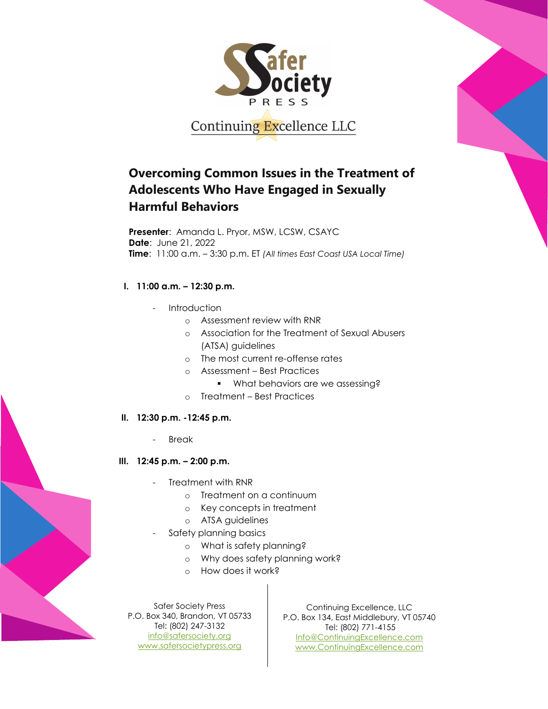

# **Overcoming Common Issues in the Treatment of Adolescents Who Have Engaged in Sexually Harmful Behaviors**

**Presenter**: Amanda L. Pryor, MSW, LCSW, CSAYC **Date**: June 21, 2022 **Time**: 11:00 a.m. – 3:30 p.m. ET *(All times East Coast USA Local Time)*

## **I. 11:00 a.m. – 12:30 p.m.**

- Introduction
	- o Assessment review with RNR
	- o Association for the Treatment of Sexual Abusers (ATSA) guidelines
	- o The most current re-offense rates
	- o Assessment Best Practices
		- **What behaviors are we assessing?**
	- o Treatment Best Practices

#### **II. 12:30 p.m. -12:45 p.m.**

- **Break**
- **III. 12:45 p.m. – 2:00 p.m.**
	- Treatment with RNR
		- o Treatment on a continuum
		- o Key concepts in treatment
		- o ATSA guidelines
	- Safety planning basics
		- o What is safety planning?
		- o Why does safety planning work?
		- o How does it work?

Safer Society Press P.O. Box 340, Brandon, VT 05733 Tel: (802) 247-3132 [info@safersociety.org](mailto:info@safersociety.org) [www.safersocietypress.org](http://www.safersocietypress.org/)

Continuing Excellence, LLC P.O. Box 134, East Middlebury, VT 05740 Tel: (802) 771-4155 [Info@ContinuingExcellence.com](mailto:Info@ContinuingExcellence.com) [www.ContinuingExcellence.com](http://www.continuingexcellence.com/)